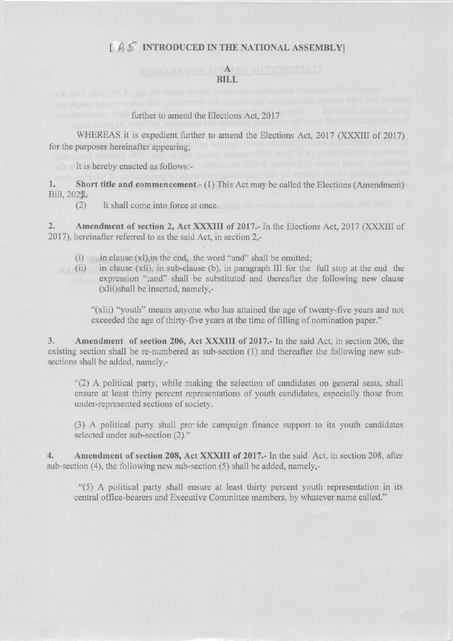### $[$   $A$   $S$  introduced in the national assembly

## PYORA TH OVA 2T ALEO TO THEMPTATE **BILL**<br>Billiam and the search that along a construction and along along the search of the search of the search of the s

# further to amend the Elections Act, 2017

WHEREAS it is expedient further to amend the Elections Act, 2017 (XXXIII of 2017) for the purposes hereinafter appearing;

It is hereby enacted as follows:-

l. Short title and commencement.- (1) This Act may be called the Elections (Amendment) Bill, 2022,

(2) It shall come into force at once.

2. Amendment of section 2, Act XXXIII of 2017.- In the Elections Act, 2017 (XXXIII of 2017), hereinafter referred to as the said Act, in section 2,-

- $(i)$  in clause  $(x)$ , in the end, the word "and" shall be omitted;
- $(i)$  in clause (xli), in sub-clause (b), in paragraph III for the full stop at the end the expression ";and" shall be substituted and thereafter the following new clause (xlii)shall be inserted, namely.-

"(xlii) "youth" means anyone who has attained the age of twenty-five years and not exceeded the age of thirty-five years at the time of filling of nomination paper."

3. Amendment of section 206, Act XXXIII of 2017.- In the said Act, in section 206, the existing section shall be re-numbered as sub-section  $(1)$  and thereafter the following new subsections shall be added, namely,-

"(2) A political party, while making the selection of candidates on general seats, shall ensure at least thirty percent representations of youth candidates, especially those from under-represented sections of society.

 $(3)$  A political party shall provide campaign finance support to its youth candidates selected under sub-section (2)."

4. Amendment of section 208, Act XXXIII of 2017.- In the said Act, in section 208, after sub-section (4), the following new sub-section (5) shatl be added, namely,-

"(5) A political party shall enswe at least thirty percent youth representation in its central office-bearers and Executive Committee members, by whatever name called."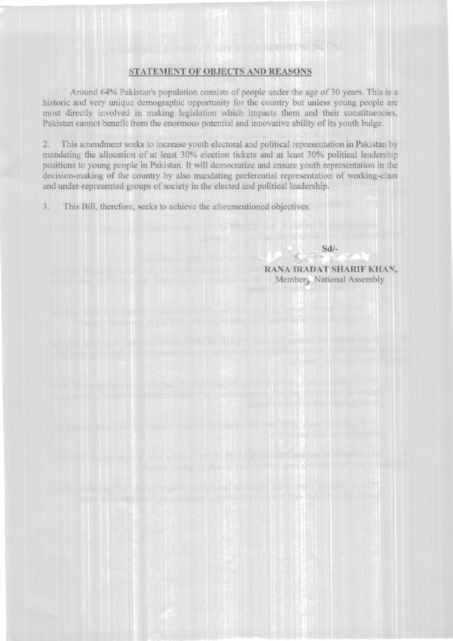#### **STATEMENT OF OBJECTS AND REASONS**

Around 64% Pakistan's population consists of people under the age of 30 years. This is a historic and very unique demographic opportunity for the country but unless young people are most directly involved in making legislation which impacts them and their constituencies, Pakistan cannot benefit from the enormous potential and innovative ability of its youth bulge.

 $2.$ This amendment seeks to increase youth electoral and political representation in Pakistan by mandating the allocation of at least 30% election tickets and at least 30% political leadership positions to young people in Pakistan. It will democratize and ensure youth representation in the decision-making of the country by also mandating preferential representation of working-class and under-represented groups of society in the elected and political leadership.

 $3.$ This Bill, therefore, seeks to achieve the aforementioned objectives.

> RANA IRADAT SHARIF KHAN, Members National Assembly

 $Sd$ -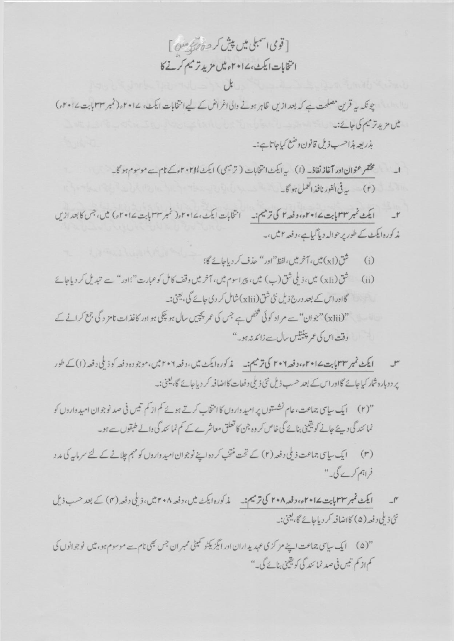[قوى اسمبلى ميں پيش كر حدة *فيتى م*ين] انتخابات ايكث، ١٤٠٤ مثل مزيد ترميم كرنے كا

چونکہ یہ قرین مصلحت ہے کہ بعد ازیں ظاہر ہونے والی اغراض کے لیے انتخابات ایکٹ، ۲۰۱۷ء (نمبر ۳۳ بابت ۲۰۱۷ء) یں مزید ترسیم کی جائے:۔

بذريعه بذاحب ذيل قانون وضع كياجاتا ہے:۔

مختفر عنوان اور آغاز نفاذ۔ (۱) یہ ایکٹ انتخابات (ترمیمی) ایکٹ ۲۰۲۸ء کے نام سے موسوم ہو گا۔ (۲) \_ په في الفورنافذ العمل ہو گا۔

ایکٹ نمبر ۳۳ مایت ۱۵۲۰۱۷ دفعہ ۲ کی ترسیم:۔ انتخابات ایکٹ،۱۷۰۲ء( نمبر ۳۳ بابت ۱۷۰۲ء) میں،جس کا بعد ازیں مذكورہ ايكٹ كے طور پر حوالہ ديا گياہے،دفعہ ٢ ميں،۔

- شق (x1) میں، آخر میں،لفظ "اور " حذف کر دیاجائے گا؛  $(i)$
- شق(xli) میں، ذیلی شق(ب) میں، پیراسوم میں، آخر میں وقف کامل کوعبارت"؛ادر" سے تبدیل کر دیاجائے  $(ii)$ گااور اس کے بعد درج ذیل نئی شق (xlii) شامل کر دی جائے گی، یعنی:۔ "(xlii)"جوان"سے مراد کوئی شخص ہے جس کی عمر پچیس سال ہو چکی ہو اور کاغذات نامز دگی جمع کرانے کے وقت اس کی عمر پینیس سال سے زائد ندہو۔"

ایکٹ نمبر ۳۳ بابت ۱۵۴۲۰۰۷ وفعہ ۲۰۲ کی ترمیم:۔ مذکورہ ایکٹ میں، دفعہ ۲۰۲ میں، موجودہ دفعہ کوذیلی دفعہ (۱) کے طور پر دوبارہ شار کیاجائے گااور اس کے بعد حسب ذیل نئی ذیلی دفعات کااضافہ کر دیاجائے گا، یعنی:۔

- نمائندگی دیئے جانے کویقینی بنائے گی خاص کر وہ جن کا تعلق معاشرے کے کم نمائندگی والے طبقوں سے ہو۔
- (۳) ایک سای جماعت ذیلی دفعہ (۲) کے تحت منتخب کر دہ اپنے نوجوان امید واروں کو مہم چلانے کے لئے سرمایہ کی مد د فراہم کرے گی۔"

ایکٹ نمبر ۳۳ پایت ۱۷۵۲ وفعہ ۲۰۸ کی ترمیم:۔ مذکورہ ایکٹ میں، دفعہ ۲۰۸ میں، ذیلی دفعہ (۴) کے بعد حسب ذیل نئ ذیلی د فعہ (۵) کااضافہ کر دیاجائے گا، یعنی:۔

"(۵) ایک سای جماعت اپنے مرکزی عہدیداران اور ایگزیکٹو کمیٹی ممبر ان جس بھی نام سے موسوم ہو، میں نوجوانوں کی کم از کم تیس فی صد نما ئند گی کویقینی بنائے گی۔"